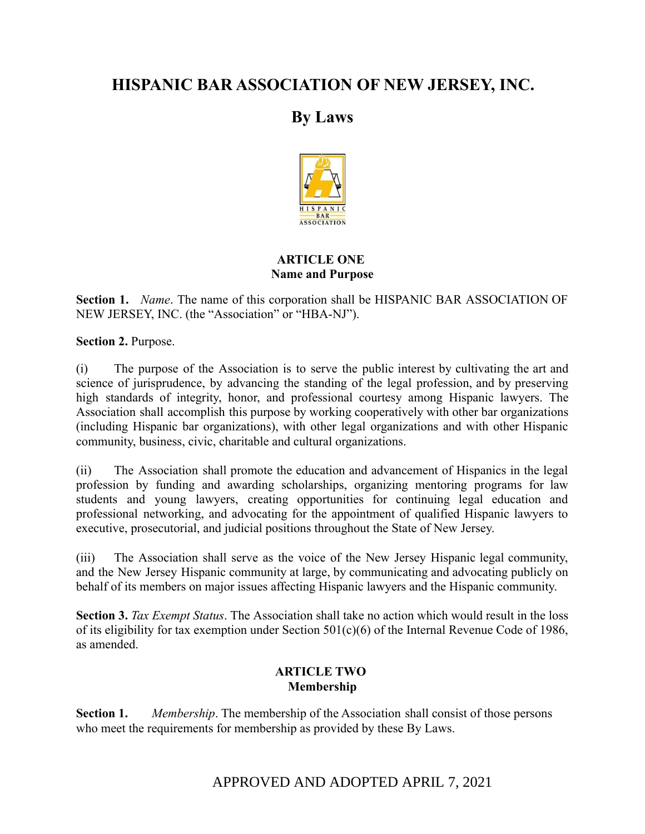# **HISPANIC BAR ASSOCIATION OF NEW JERSEY, INC.**

# **By Laws**



# **ARTICLE ONE Name and Purpose**

**Section 1.** *Name*. The name of this corporation shall be HISPANIC BAR ASSOCIATION OF NEW JERSEY, INC. (the "Association" or "HBA-NJ").

**Section 2.** Purpose.

(i) The purpose of the Association is to serve the public interest by cultivating the art and science of jurisprudence, by advancing the standing of the legal profession, and by preserving high standards of integrity, honor, and professional courtesy among Hispanic lawyers. The Association shall accomplish this purpose by working cooperatively with other bar organizations (including Hispanic bar organizations), with other legal organizations and with other Hispanic community, business, civic, charitable and cultural organizations.

(ii) The Association shall promote the education and advancement of Hispanics in the legal profession by funding and awarding scholarships, organizing mentoring programs for law students and young lawyers, creating opportunities for continuing legal education and professional networking, and advocating for the appointment of qualified Hispanic lawyers to executive, prosecutorial, and judicial positions throughout the State of New Jersey.

(iii) The Association shall serve as the voice of the New Jersey Hispanic legal community, and the New Jersey Hispanic community at large, by communicating and advocating publicly on behalf of its members on major issues affecting Hispanic lawyers and the Hispanic community.

**Section 3.** *Tax Exempt Status*. The Association shall take no action which would result in the loss of its eligibility for tax exemption under Section 501(c)(6) of the Internal Revenue Code of 1986, as amended.

# **ARTICLE TWO Membership**

**Section 1.** *Membership*. The membership of the Association shall consist of those persons who meet the requirements for membership as provided by these By Laws.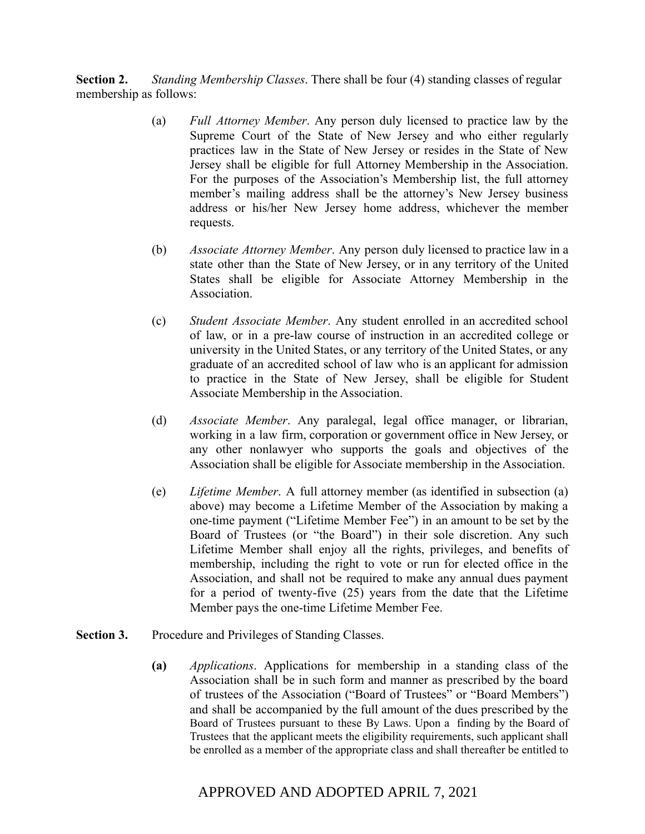**Section 2.** *Standing Membership Classes*. There shall be four (4) standing classes of regular membership as follows:

- (a) *Full Attorney Member*. Any person duly licensed to practice law by the Supreme Court of the State of New Jersey and who either regularly practices law in the State of New Jersey or resides in the State of New Jersey shall be eligible for full Attorney Membership in the Association. For the purposes of the Association's Membership list, the full attorney member's mailing address shall be the attorney's New Jersey business address or his/her New Jersey home address, whichever the member requests.
- (b) *Associate Attorney Member*. Any person duly licensed to practice law in a state other than the State of New Jersey, or in any territory of the United States shall be eligible for Associate Attorney Membership in the Association.
- (c) *Student Associate Member*. Any student enrolled in an accredited school of law, or in a pre-law course of instruction in an accredited college or university in the United States, or any territory of the United States, or any graduate of an accredited school of law who is an applicant for admission to practice in the State of New Jersey, shall be eligible for Student Associate Membership in the Association.
- (d) *Associate Member*. Any paralegal, legal office manager, or librarian, working in a law firm, corporation or government office in New Jersey, or any other nonlawyer who supports the goals and objectives of the Association shall be eligible for Associate membership in the Association.
- (e) *Lifetime Member*. A full attorney member (as identified in subsection (a) above) may become a Lifetime Member of the Association by making a one-time payment ("Lifetime Member Fee") in an amount to be set by the Board of Trustees (or "the Board") in their sole discretion. Any such Lifetime Member shall enjoy all the rights, privileges, and benefits of membership, including the right to vote or run for elected office in the Association, and shall not be required to make any annual dues payment for a period of twenty-five (25) years from the date that the Lifetime Member pays the one-time Lifetime Member Fee.
- Section 3. Procedure and Privileges of Standing Classes.
	- **(a)** *Applications*. Applications for membership in a standing class of the Association shall be in such form and manner as prescribed by the board of trustees of the Association ("Board of Trustees" or "Board Members") and shall be accompanied by the full amount of the dues prescribed by the Board of Trustees pursuant to these By Laws. Upon a finding by the Board of Trustees that the applicant meets the eligibility requirements, such applicant shall be enrolled as a member of the appropriate class and shall thereafter be entitled to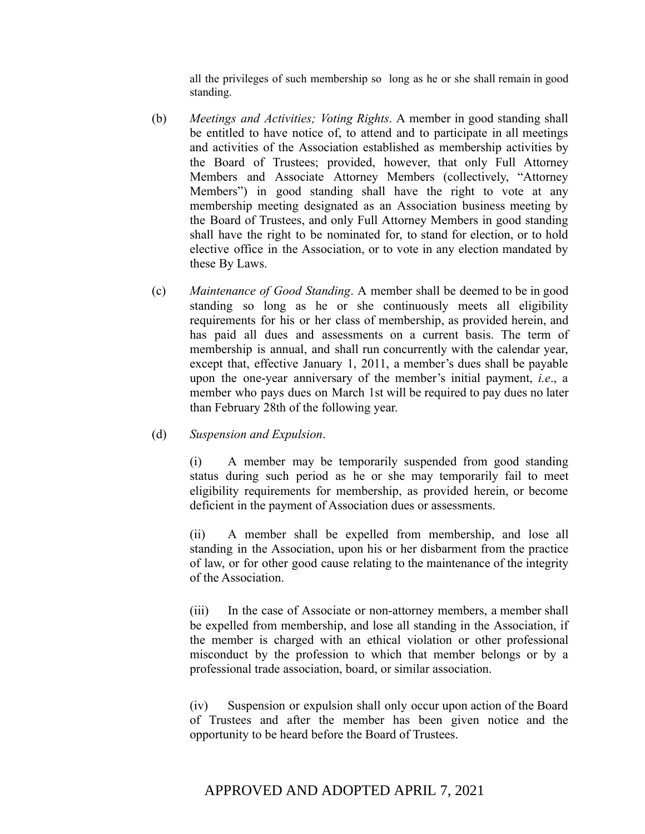all the privileges of such membership so long as he or she shall remain in good standing.

- (b) *Meetings and Activities; Voting Rights*. A member in good standing shall be entitled to have notice of, to attend and to participate in all meetings and activities of the Association established as membership activities by the Board of Trustees; provided, however, that only Full Attorney Members and Associate Attorney Members (collectively, "Attorney Members") in good standing shall have the right to vote at any membership meeting designated as an Association business meeting by the Board of Trustees, and only Full Attorney Members in good standing shall have the right to be nominated for, to stand for election, or to hold elective office in the Association, or to vote in any election mandated by these By Laws.
- (c) *Maintenance of Good Standing*. A member shall be deemed to be in good standing so long as he or she continuously meets all eligibility requirements for his or her class of membership, as provided herein, and has paid all dues and assessments on a current basis. The term of membership is annual, and shall run concurrently with the calendar year, except that, effective January 1, 2011, a member's dues shall be payable upon the one-year anniversary of the member's initial payment, *i.e*., a member who pays dues on March 1st will be required to pay dues no later than February 28th of the following year.

## (d) *Suspension and Expulsion*.

(i) A member may be temporarily suspended from good standing status during such period as he or she may temporarily fail to meet eligibility requirements for membership, as provided herein, or become deficient in the payment of Association dues or assessments.

(ii) A member shall be expelled from membership, and lose all standing in the Association, upon his or her disbarment from the practice of law, or for other good cause relating to the maintenance of the integrity of the Association.

(iii) In the case of Associate or non-attorney members, a member shall be expelled from membership, and lose all standing in the Association, if the member is charged with an ethical violation or other professional misconduct by the profession to which that member belongs or by a professional trade association, board, or similar association.

(iv) Suspension or expulsion shall only occur upon action of the Board of Trustees and after the member has been given notice and the opportunity to be heard before the Board of Trustees.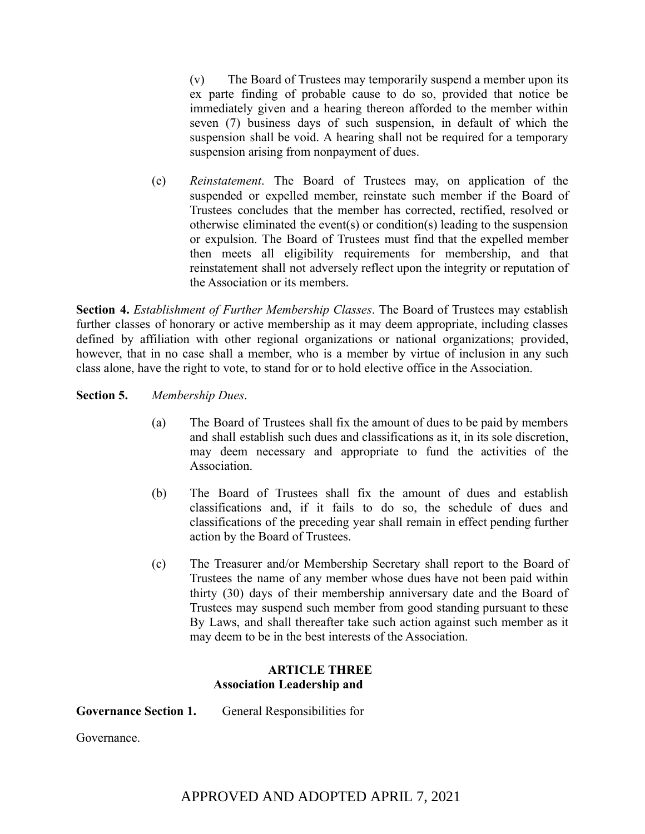(v) The Board of Trustees may temporarily suspend a member upon its ex parte finding of probable cause to do so, provided that notice be immediately given and a hearing thereon afforded to the member within seven (7) business days of such suspension, in default of which the suspension shall be void. A hearing shall not be required for a temporary suspension arising from nonpayment of dues.

(e) *Reinstatement*. The Board of Trustees may, on application of the suspended or expelled member, reinstate such member if the Board of Trustees concludes that the member has corrected, rectified, resolved or otherwise eliminated the event(s) or condition(s) leading to the suspension or expulsion. The Board of Trustees must find that the expelled member then meets all eligibility requirements for membership, and that reinstatement shall not adversely reflect upon the integrity or reputation of the Association or its members.

**Section 4.** *Establishment of Further Membership Classes*. The Board of Trustees may establish further classes of honorary or active membership as it may deem appropriate, including classes defined by affiliation with other regional organizations or national organizations; provided, however, that in no case shall a member, who is a member by virtue of inclusion in any such class alone, have the right to vote, to stand for or to hold elective office in the Association.

**Section 5.** *Membership Dues*.

- (a) The Board of Trustees shall fix the amount of dues to be paid by members and shall establish such dues and classifications as it, in its sole discretion, may deem necessary and appropriate to fund the activities of the **Association**
- (b) The Board of Trustees shall fix the amount of dues and establish classifications and, if it fails to do so, the schedule of dues and classifications of the preceding year shall remain in effect pending further action by the Board of Trustees.
- (c) The Treasurer and/or Membership Secretary shall report to the Board of Trustees the name of any member whose dues have not been paid within thirty (30) days of their membership anniversary date and the Board of Trustees may suspend such member from good standing pursuant to these By Laws, and shall thereafter take such action against such member as it may deem to be in the best interests of the Association.

# **ARTICLE THREE Association Leadership and**

**Governance Section 1.** General Responsibilities for

Governance.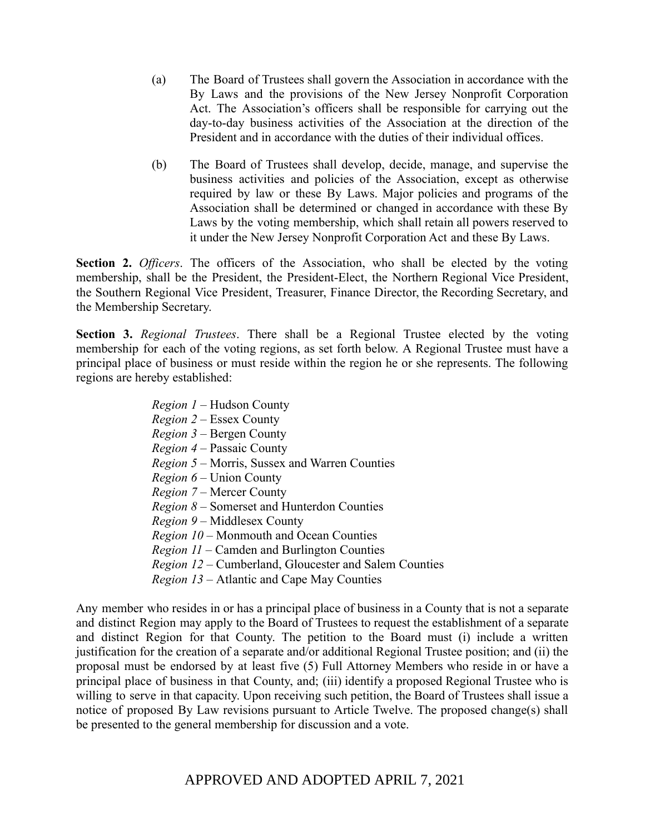- (a) The Board of Trustees shall govern the Association in accordance with the By Laws and the provisions of the New Jersey Nonprofit Corporation Act. The Association's officers shall be responsible for carrying out the day-to-day business activities of the Association at the direction of the President and in accordance with the duties of their individual offices.
- (b) The Board of Trustees shall develop, decide, manage, and supervise the business activities and policies of the Association, except as otherwise required by law or these By Laws. Major policies and programs of the Association shall be determined or changed in accordance with these By Laws by the voting membership, which shall retain all powers reserved to it under the New Jersey Nonprofit Corporation Act and these By Laws.

**Section 2.** *Officers*. The officers of the Association, who shall be elected by the voting membership, shall be the President, the President-Elect, the Northern Regional Vice President, the Southern Regional Vice President, Treasurer, Finance Director, the Recording Secretary, and the Membership Secretary.

**Section 3.** *Regional Trustees*. There shall be a Regional Trustee elected by the voting membership for each of the voting regions, as set forth below. A Regional Trustee must have a principal place of business or must reside within the region he or she represents. The following regions are hereby established:

> *Region 1* – Hudson County *Region 2* – Essex County *Region 3* – Bergen County *Region 4* – Passaic County *Region 5* – Morris, Sussex and Warren Counties *Region 6* – Union County *Region 7* – Mercer County *Region 8 –* Somerset and Hunterdon Counties *Region 9* – Middlesex County *Region 10* – Monmouth and Ocean Counties *Region 11* – Camden and Burlington Counties *Region 12* – Cumberland, Gloucester and Salem Counties *Region 13 –* Atlantic and Cape May Counties

Any member who resides in or has a principal place of business in a County that is not a separate and distinct Region may apply to the Board of Trustees to request the establishment of a separate and distinct Region for that County. The petition to the Board must (i) include a written justification for the creation of a separate and/or additional Regional Trustee position; and (ii) the proposal must be endorsed by at least five (5) Full Attorney Members who reside in or have a principal place of business in that County, and; (iii) identify a proposed Regional Trustee who is willing to serve in that capacity. Upon receiving such petition, the Board of Trustees shall issue a notice of proposed By Law revisions pursuant to Article Twelve. The proposed change(s) shall be presented to the general membership for discussion and a vote.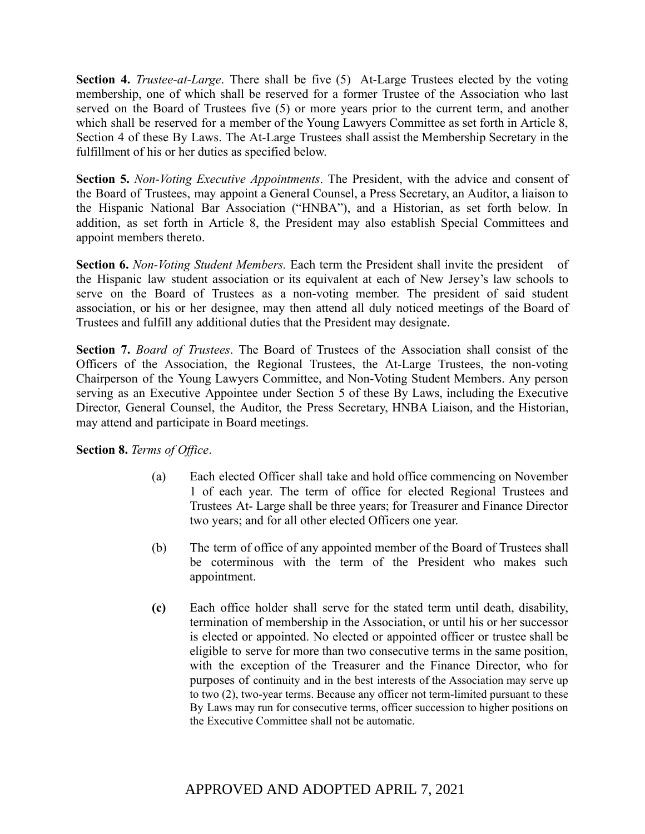**Section 4.** *Trustee-at-Large*. There shall be five (5) At-Large Trustees elected by the voting membership, one of which shall be reserved for a former Trustee of the Association who last served on the Board of Trustees five (5) or more years prior to the current term, and another which shall be reserved for a member of the Young Lawyers Committee as set forth in Article 8, Section 4 of these By Laws. The At-Large Trustees shall assist the Membership Secretary in the fulfillment of his or her duties as specified below.

**Section 5.** *Non-Voting Executive Appointments*. The President, with the advice and consent of the Board of Trustees, may appoint a General Counsel, a Press Secretary, an Auditor, a liaison to the Hispanic National Bar Association ("HNBA"), and a Historian, as set forth below. In addition, as set forth in Article 8, the President may also establish Special Committees and appoint members thereto.

**Section 6.** *Non-Voting Student Members.* Each term the President shall invite the president of the Hispanic law student association or its equivalent at each of New Jersey's law schools to serve on the Board of Trustees as a non-voting member. The president of said student association, or his or her designee, may then attend all duly noticed meetings of the Board of Trustees and fulfill any additional duties that the President may designate.

**Section 7.** *Board of Trustees*. The Board of Trustees of the Association shall consist of the Officers of the Association, the Regional Trustees, the At-Large Trustees, the non-voting Chairperson of the Young Lawyers Committee, and Non-Voting Student Members. Any person serving as an Executive Appointee under Section 5 of these By Laws, including the Executive Director, General Counsel, the Auditor, the Press Secretary, HNBA Liaison, and the Historian, may attend and participate in Board meetings.

**Section 8.** *Terms of Office*.

- (a) Each elected Officer shall take and hold office commencing on November 1 of each year. The term of office for elected Regional Trustees and Trustees At- Large shall be three years; for Treasurer and Finance Director two years; and for all other elected Officers one year.
- (b) The term of office of any appointed member of the Board of Trustees shall be coterminous with the term of the President who makes such appointment.
- **(c)** Each office holder shall serve for the stated term until death, disability, termination of membership in the Association, or until his or her successor is elected or appointed. No elected or appointed officer or trustee shall be eligible to serve for more than two consecutive terms in the same position, with the exception of the Treasurer and the Finance Director, who for purposes of continuity and in the best interests of the Association may serve up to two (2), two-year terms. Because any officer not term-limited pursuant to these By Laws may run for consecutive terms, officer succession to higher positions on the Executive Committee shall not be automatic.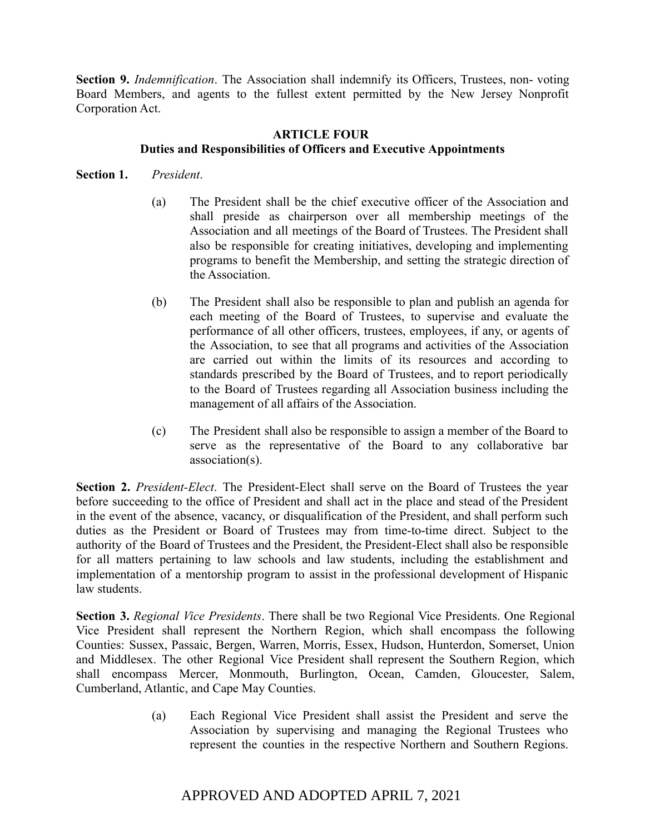**Section 9.** *Indemnification*. The Association shall indemnify its Officers, Trustees, non- voting Board Members, and agents to the fullest extent permitted by the New Jersey Nonprofit Corporation Act.

# **ARTICLE FOUR Duties and Responsibilities of Officers and Executive Appointments**

# **Section 1.** *President*.

- (a) The President shall be the chief executive officer of the Association and shall preside as chairperson over all membership meetings of the Association and all meetings of the Board of Trustees. The President shall also be responsible for creating initiatives, developing and implementing programs to benefit the Membership, and setting the strategic direction of the Association.
- (b) The President shall also be responsible to plan and publish an agenda for each meeting of the Board of Trustees, to supervise and evaluate the performance of all other officers, trustees, employees, if any, or agents of the Association, to see that all programs and activities of the Association are carried out within the limits of its resources and according to standards prescribed by the Board of Trustees, and to report periodically to the Board of Trustees regarding all Association business including the management of all affairs of the Association.
- (c) The President shall also be responsible to assign a member of the Board to serve as the representative of the Board to any collaborative bar association(s).

**Section 2.** *President-Elect*. The President-Elect shall serve on the Board of Trustees the year before succeeding to the office of President and shall act in the place and stead of the President in the event of the absence, vacancy, or disqualification of the President, and shall perform such duties as the President or Board of Trustees may from time-to-time direct. Subject to the authority of the Board of Trustees and the President, the President-Elect shall also be responsible for all matters pertaining to law schools and law students, including the establishment and implementation of a mentorship program to assist in the professional development of Hispanic law students.

**Section 3.** *Regional Vice Presidents*. There shall be two Regional Vice Presidents. One Regional Vice President shall represent the Northern Region, which shall encompass the following Counties: Sussex, Passaic, Bergen, Warren, Morris, Essex, Hudson, Hunterdon, Somerset, Union and Middlesex. The other Regional Vice President shall represent the Southern Region, which shall encompass Mercer, Monmouth, Burlington, Ocean, Camden, Gloucester, Salem, Cumberland, Atlantic, and Cape May Counties.

> (a) Each Regional Vice President shall assist the President and serve the Association by supervising and managing the Regional Trustees who represent the counties in the respective Northern and Southern Regions.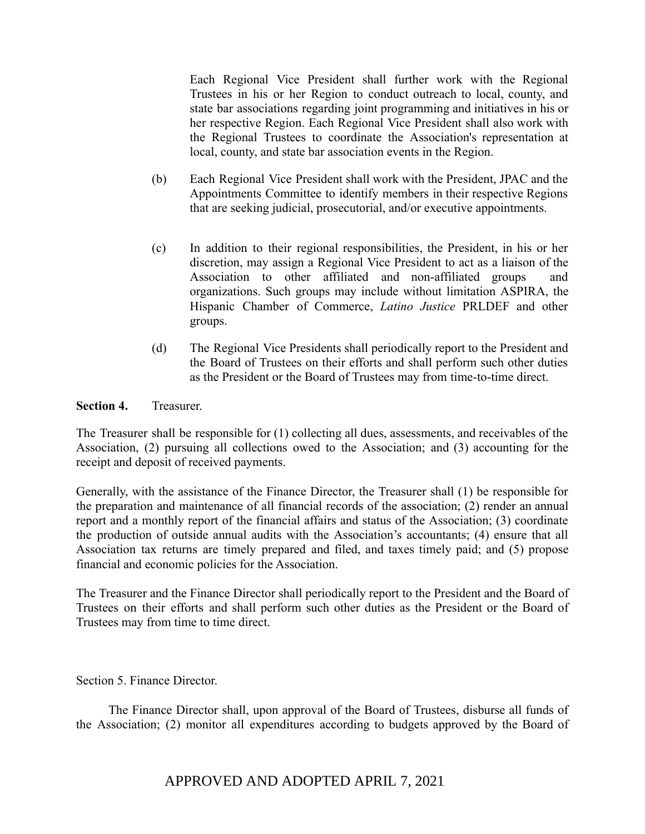Each Regional Vice President shall further work with the Regional Trustees in his or her Region to conduct outreach to local, county, and state bar associations regarding joint programming and initiatives in his or her respective Region. Each Regional Vice President shall also work with the Regional Trustees to coordinate the Association's representation at local, county, and state bar association events in the Region.

- (b) Each Regional Vice President shall work with the President, JPAC and the Appointments Committee to identify members in their respective Regions that are seeking judicial, prosecutorial, and/or executive appointments.
- (c) In addition to their regional responsibilities, the President, in his or her discretion, may assign a Regional Vice President to act as a liaison of the Association to other affiliated and non-affiliated groups and organizations. Such groups may include without limitation ASPIRA, the Hispanic Chamber of Commerce, *Latino Justice* PRLDEF and other groups.
- (d) The Regional Vice Presidents shall periodically report to the President and the Board of Trustees on their efforts and shall perform such other duties as the President or the Board of Trustees may from time-to-time direct.

## **Section 4.** Treasurer.

The Treasurer shall be responsible for (1) collecting all dues, assessments, and receivables of the Association, (2) pursuing all collections owed to the Association; and (3) accounting for the receipt and deposit of received payments.

Generally, with the assistance of the Finance Director, the Treasurer shall (1) be responsible for the preparation and maintenance of all financial records of the association; (2) render an annual report and a monthly report of the financial affairs and status of the Association; (3) coordinate the production of outside annual audits with the Association's accountants; (4) ensure that all Association tax returns are timely prepared and filed, and taxes timely paid; and (5) propose financial and economic policies for the Association.

The Treasurer and the Finance Director shall periodically report to the President and the Board of Trustees on their efforts and shall perform such other duties as the President or the Board of Trustees may from time to time direct.

Section 5. Finance Director.

The Finance Director shall, upon approval of the Board of Trustees, disburse all funds of the Association; (2) monitor all expenditures according to budgets approved by the Board of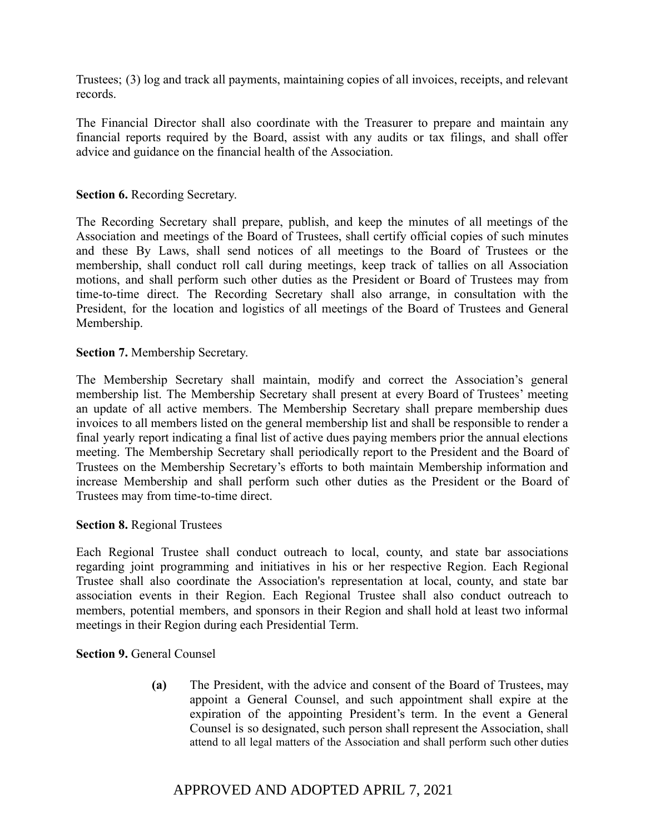Trustees; (3) log and track all payments, maintaining copies of all invoices, receipts, and relevant records.

The Financial Director shall also coordinate with the Treasurer to prepare and maintain any financial reports required by the Board, assist with any audits or tax filings, and shall offer advice and guidance on the financial health of the Association.

## **Section 6.** Recording Secretary.

The Recording Secretary shall prepare, publish, and keep the minutes of all meetings of the Association and meetings of the Board of Trustees, shall certify official copies of such minutes and these By Laws, shall send notices of all meetings to the Board of Trustees or the membership, shall conduct roll call during meetings, keep track of tallies on all Association motions, and shall perform such other duties as the President or Board of Trustees may from time-to-time direct. The Recording Secretary shall also arrange, in consultation with the President, for the location and logistics of all meetings of the Board of Trustees and General Membership.

## **Section 7.** Membership Secretary.

The Membership Secretary shall maintain, modify and correct the Association's general membership list. The Membership Secretary shall present at every Board of Trustees' meeting an update of all active members. The Membership Secretary shall prepare membership dues invoices to all members listed on the general membership list and shall be responsible to render a final yearly report indicating a final list of active dues paying members prior the annual elections meeting. The Membership Secretary shall periodically report to the President and the Board of Trustees on the Membership Secretary's efforts to both maintain Membership information and increase Membership and shall perform such other duties as the President or the Board of Trustees may from time-to-time direct.

## **Section 8.** Regional Trustees

Each Regional Trustee shall conduct outreach to local, county, and state bar associations regarding joint programming and initiatives in his or her respective Region. Each Regional Trustee shall also coordinate the Association's representation at local, county, and state bar association events in their Region. Each Regional Trustee shall also conduct outreach to members, potential members, and sponsors in their Region and shall hold at least two informal meetings in their Region during each Presidential Term.

#### **Section 9.** General Counsel

**(a)** The President, with the advice and consent of the Board of Trustees, may appoint a General Counsel, and such appointment shall expire at the expiration of the appointing President's term. In the event a General Counsel is so designated, such person shall represent the Association, shall attend to all legal matters of the Association and shall perform such other duties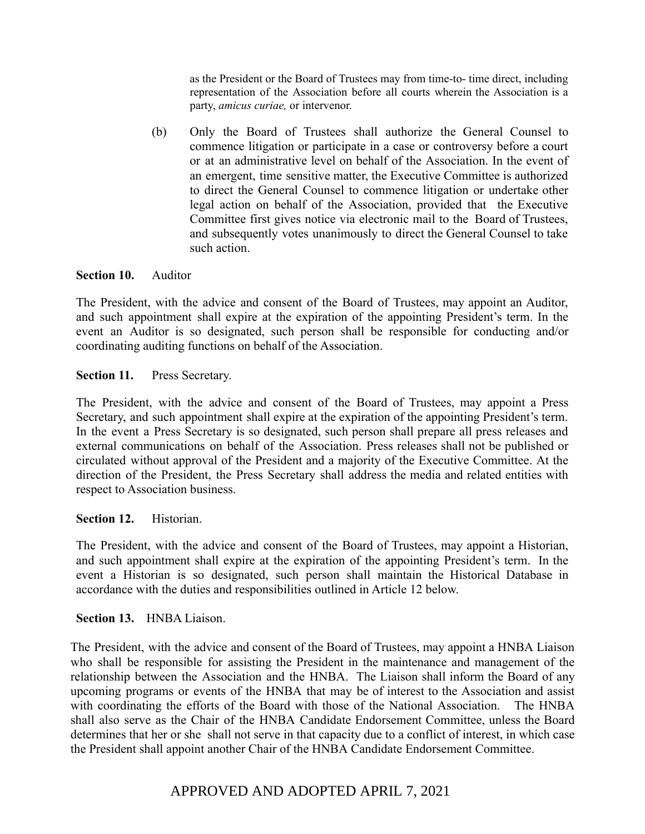as the President or the Board of Trustees may from time-to- time direct, including representation of the Association before all courts wherein the Association is a party, *amicus curiae,* or intervenor.

(b) Only the Board of Trustees shall authorize the General Counsel to commence litigation or participate in a case or controversy before a court or at an administrative level on behalf of the Association. In the event of an emergent, time sensitive matter, the Executive Committee is authorized to direct the General Counsel to commence litigation or undertake other legal action on behalf of the Association, provided that the Executive Committee first gives notice via electronic mail to the Board of Trustees, and subsequently votes unanimously to direct the General Counsel to take such action.

#### **Section 10.** Auditor

The President, with the advice and consent of the Board of Trustees, may appoint an Auditor, and such appointment shall expire at the expiration of the appointing President's term. In the event an Auditor is so designated, such person shall be responsible for conducting and/or coordinating auditing functions on behalf of the Association.

## **Section 11.** Press Secretary.

The President, with the advice and consent of the Board of Trustees, may appoint a Press Secretary, and such appointment shall expire at the expiration of the appointing President's term. In the event a Press Secretary is so designated, such person shall prepare all press releases and external communications on behalf of the Association. Press releases shall not be published or circulated without approval of the President and a majority of the Executive Committee. At the direction of the President, the Press Secretary shall address the media and related entities with respect to Association business.

## **Section 12.** Historian.

The President, with the advice and consent of the Board of Trustees, may appoint a Historian, and such appointment shall expire at the expiration of the appointing President's term. In the event a Historian is so designated, such person shall maintain the Historical Database in accordance with the duties and responsibilities outlined in Article 12 below.

#### **Section 13.** HNBA Liaison.

The President, with the advice and consent of the Board of Trustees, may appoint a HNBA Liaison who shall be responsible for assisting the President in the maintenance and management of the relationship between the Association and the HNBA. The Liaison shall inform the Board of any upcoming programs or events of the HNBA that may be of interest to the Association and assist with coordinating the efforts of the Board with those of the National Association. The HNBA shall also serve as the Chair of the HNBA Candidate Endorsement Committee, unless the Board determines that her or she shall not serve in that capacity due to a conflict of interest, in which case the President shall appoint another Chair of the HNBA Candidate Endorsement Committee.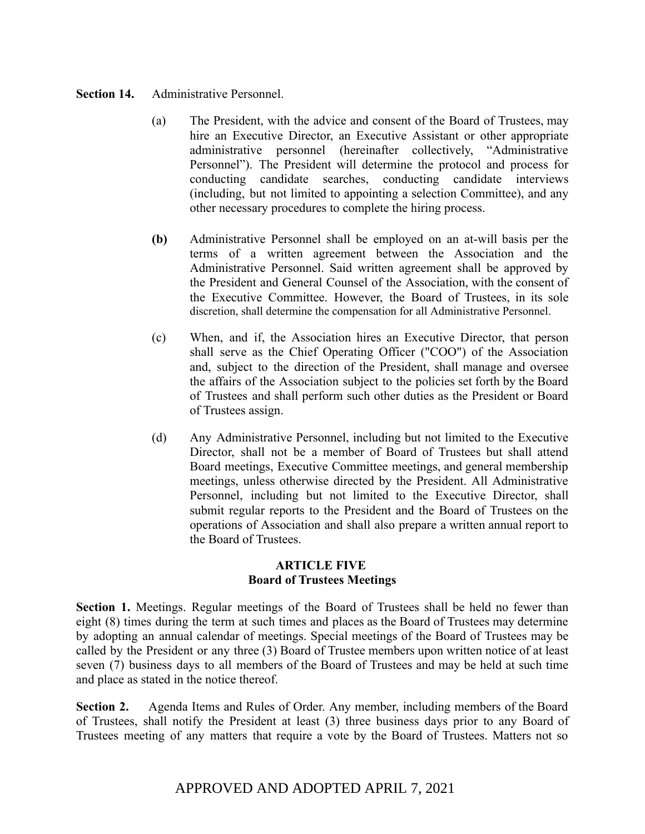## **Section 14.** Administrative Personnel.

- (a) The President, with the advice and consent of the Board of Trustees, may hire an Executive Director, an Executive Assistant or other appropriate administrative personnel (hereinafter collectively, "Administrative Personnel"). The President will determine the protocol and process for conducting candidate searches, conducting candidate interviews (including, but not limited to appointing a selection Committee), and any other necessary procedures to complete the hiring process.
- **(b)** Administrative Personnel shall be employed on an at-will basis per the terms of a written agreement between the Association and the Administrative Personnel. Said written agreement shall be approved by the President and General Counsel of the Association, with the consent of the Executive Committee. However, the Board of Trustees, in its sole discretion, shall determine the compensation for all Administrative Personnel.
- (c) When, and if, the Association hires an Executive Director, that person shall serve as the Chief Operating Officer ("COO") of the Association and, subject to the direction of the President, shall manage and oversee the affairs of the Association subject to the policies set forth by the Board of Trustees and shall perform such other duties as the President or Board of Trustees assign.
- (d) Any Administrative Personnel, including but not limited to the Executive Director, shall not be a member of Board of Trustees but shall attend Board meetings, Executive Committee meetings, and general membership meetings, unless otherwise directed by the President. All Administrative Personnel, including but not limited to the Executive Director, shall submit regular reports to the President and the Board of Trustees on the operations of Association and shall also prepare a written annual report to the Board of Trustees.

# **ARTICLE FIVE Board of Trustees Meetings**

**Section 1.** Meetings. Regular meetings of the Board of Trustees shall be held no fewer than eight (8) times during the term at such times and places as the Board of Trustees may determine by adopting an annual calendar of meetings. Special meetings of the Board of Trustees may be called by the President or any three (3) Board of Trustee members upon written notice of at least seven (7) business days to all members of the Board of Trustees and may be held at such time and place as stated in the notice thereof.

**Section 2.** Agenda Items and Rules of Order. Any member, including members of the Board of Trustees, shall notify the President at least (3) three business days prior to any Board of Trustees meeting of any matters that require a vote by the Board of Trustees. Matters not so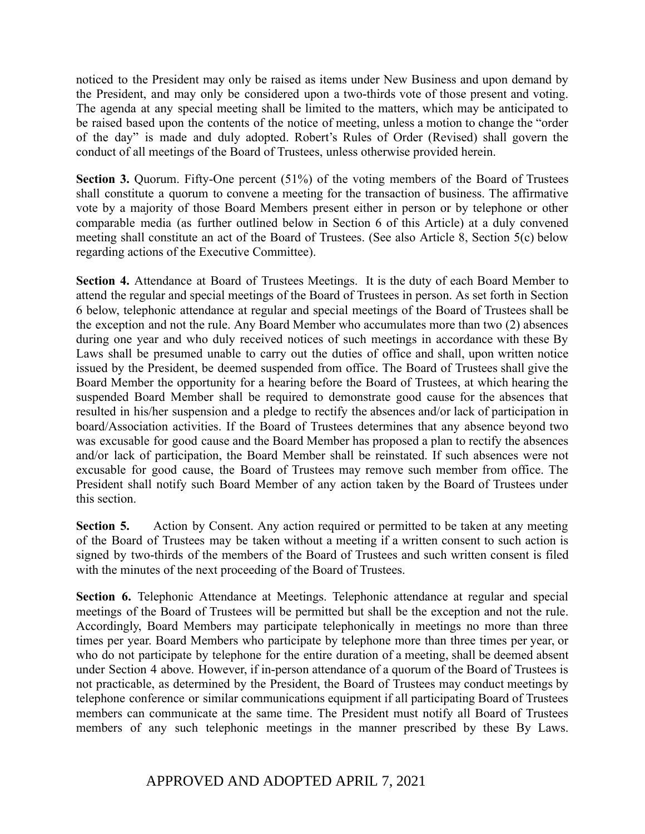noticed to the President may only be raised as items under New Business and upon demand by the President, and may only be considered upon a two-thirds vote of those present and voting. The agenda at any special meeting shall be limited to the matters, which may be anticipated to be raised based upon the contents of the notice of meeting, unless a motion to change the "order of the day" is made and duly adopted. Robert's Rules of Order (Revised) shall govern the conduct of all meetings of the Board of Trustees, unless otherwise provided herein.

**Section 3.** Quorum. Fifty-One percent (51%) of the voting members of the Board of Trustees shall constitute a quorum to convene a meeting for the transaction of business. The affirmative vote by a majority of those Board Members present either in person or by telephone or other comparable media (as further outlined below in Section 6 of this Article) at a duly convened meeting shall constitute an act of the Board of Trustees. (See also Article 8, Section 5(c) below regarding actions of the Executive Committee).

**Section 4.** Attendance at Board of Trustees Meetings. It is the duty of each Board Member to attend the regular and special meetings of the Board of Trustees in person. As set forth in Section 6 below, telephonic attendance at regular and special meetings of the Board of Trustees shall be the exception and not the rule. Any Board Member who accumulates more than two (2) absences during one year and who duly received notices of such meetings in accordance with these By Laws shall be presumed unable to carry out the duties of office and shall, upon written notice issued by the President, be deemed suspended from office. The Board of Trustees shall give the Board Member the opportunity for a hearing before the Board of Trustees, at which hearing the suspended Board Member shall be required to demonstrate good cause for the absences that resulted in his/her suspension and a pledge to rectify the absences and/or lack of participation in board/Association activities. If the Board of Trustees determines that any absence beyond two was excusable for good cause and the Board Member has proposed a plan to rectify the absences and/or lack of participation, the Board Member shall be reinstated. If such absences were not excusable for good cause, the Board of Trustees may remove such member from office. The President shall notify such Board Member of any action taken by the Board of Trustees under this section.

**Section 5.** Action by Consent. Any action required or permitted to be taken at any meeting of the Board of Trustees may be taken without a meeting if a written consent to such action is signed by two-thirds of the members of the Board of Trustees and such written consent is filed with the minutes of the next proceeding of the Board of Trustees.

**Section 6.** Telephonic Attendance at Meetings. Telephonic attendance at regular and special meetings of the Board of Trustees will be permitted but shall be the exception and not the rule. Accordingly, Board Members may participate telephonically in meetings no more than three times per year. Board Members who participate by telephone more than three times per year, or who do not participate by telephone for the entire duration of a meeting, shall be deemed absent under Section 4 above. However, if in-person attendance of a quorum of the Board of Trustees is not practicable, as determined by the President, the Board of Trustees may conduct meetings by telephone conference or similar communications equipment if all participating Board of Trustees members can communicate at the same time. The President must notify all Board of Trustees members of any such telephonic meetings in the manner prescribed by these By Laws.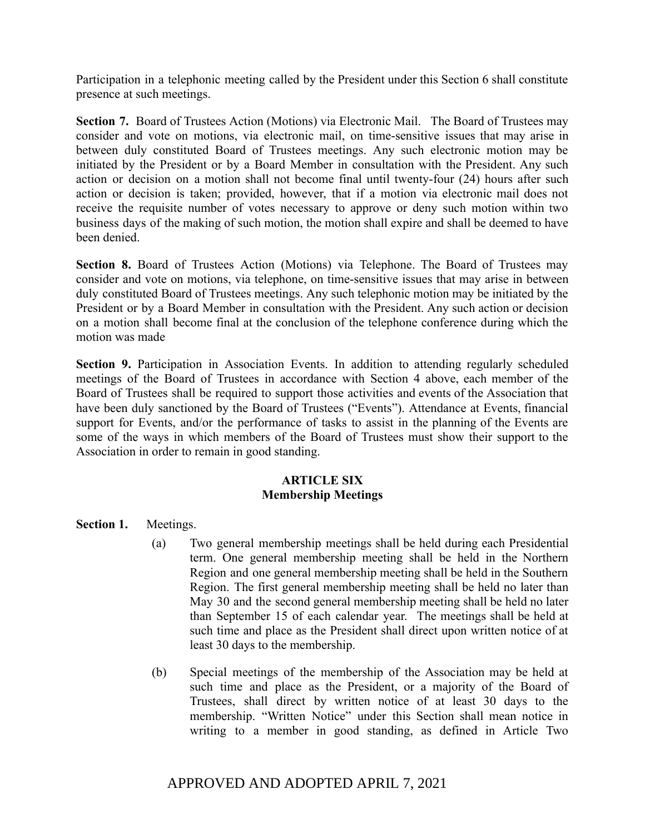Participation in a telephonic meeting called by the President under this Section 6 shall constitute presence at such meetings.

**Section 7.** Board of Trustees Action (Motions) via Electronic Mail. The Board of Trustees may consider and vote on motions, via electronic mail, on time-sensitive issues that may arise in between duly constituted Board of Trustees meetings. Any such electronic motion may be initiated by the President or by a Board Member in consultation with the President. Any such action or decision on a motion shall not become final until twenty-four (24) hours after such action or decision is taken; provided, however, that if a motion via electronic mail does not receive the requisite number of votes necessary to approve or deny such motion within two business days of the making of such motion, the motion shall expire and shall be deemed to have been denied.

**Section 8.** Board of Trustees Action (Motions) via Telephone. The Board of Trustees may consider and vote on motions, via telephone, on time-sensitive issues that may arise in between duly constituted Board of Trustees meetings. Any such telephonic motion may be initiated by the President or by a Board Member in consultation with the President. Any such action or decision on a motion shall become final at the conclusion of the telephone conference during which the motion was made

**Section 9.** Participation in Association Events. In addition to attending regularly scheduled meetings of the Board of Trustees in accordance with Section 4 above, each member of the Board of Trustees shall be required to support those activities and events of the Association that have been duly sanctioned by the Board of Trustees ("Events"). Attendance at Events, financial support for Events, and/or the performance of tasks to assist in the planning of the Events are some of the ways in which members of the Board of Trustees must show their support to the Association in order to remain in good standing.

# **ARTICLE SIX Membership Meetings**

**Section 1.** Meetings.

- (a) Two general membership meetings shall be held during each Presidential term. One general membership meeting shall be held in the Northern Region and one general membership meeting shall be held in the Southern Region. The first general membership meeting shall be held no later than May 30 and the second general membership meeting shall be held no later than September 15 of each calendar year. The meetings shall be held at such time and place as the President shall direct upon written notice of at least 30 days to the membership.
- (b) Special meetings of the membership of the Association may be held at such time and place as the President, or a majority of the Board of Trustees, shall direct by written notice of at least 30 days to the membership. "Written Notice" under this Section shall mean notice in writing to a member in good standing, as defined in Article Two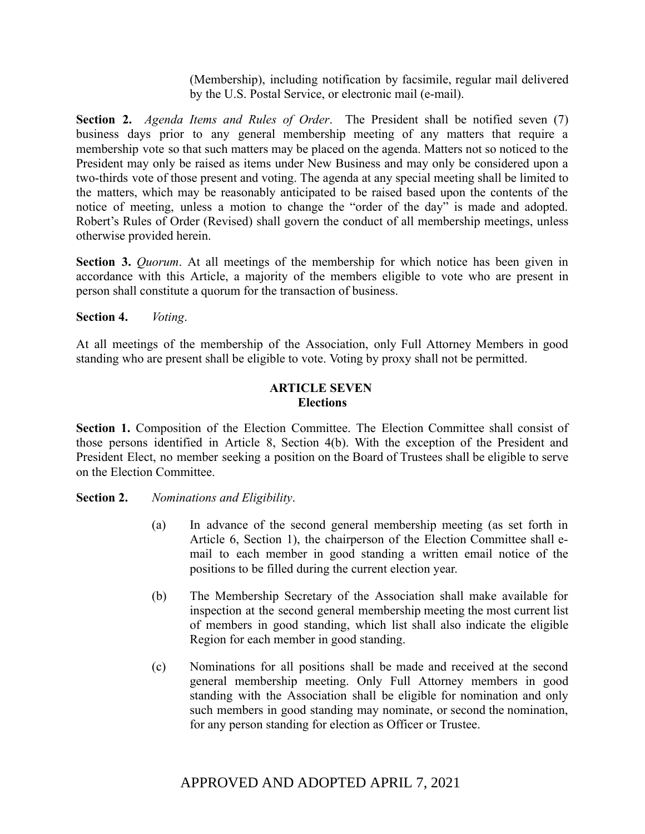(Membership), including notification by facsimile, regular mail delivered by the U.S. Postal Service, or electronic mail (e-mail).

**Section 2.** *Agenda Items and Rules of Order*. The President shall be notified seven (7) business days prior to any general membership meeting of any matters that require a membership vote so that such matters may be placed on the agenda. Matters not so noticed to the President may only be raised as items under New Business and may only be considered upon a two-thirds vote of those present and voting. The agenda at any special meeting shall be limited to the matters, which may be reasonably anticipated to be raised based upon the contents of the notice of meeting, unless a motion to change the "order of the day" is made and adopted. Robert's Rules of Order (Revised) shall govern the conduct of all membership meetings, unless otherwise provided herein.

**Section 3.** *Quorum*. At all meetings of the membership for which notice has been given in accordance with this Article, a majority of the members eligible to vote who are present in person shall constitute a quorum for the transaction of business.

**Section 4.** *Voting*.

At all meetings of the membership of the Association, only Full Attorney Members in good standing who are present shall be eligible to vote. Voting by proxy shall not be permitted.

# **ARTICLE SEVEN Elections**

**Section 1.** Composition of the Election Committee. The Election Committee shall consist of those persons identified in Article 8, Section 4(b). With the exception of the President and President Elect, no member seeking a position on the Board of Trustees shall be eligible to serve on the Election Committee.

# **Section 2.** *Nominations and Eligibility*.

- (a) In advance of the second general membership meeting (as set forth in Article 6, Section 1), the chairperson of the Election Committee shall email to each member in good standing a written email notice of the positions to be filled during the current election year.
- (b) The Membership Secretary of the Association shall make available for inspection at the second general membership meeting the most current list of members in good standing, which list shall also indicate the eligible Region for each member in good standing.
- (c) Nominations for all positions shall be made and received at the second general membership meeting. Only Full Attorney members in good standing with the Association shall be eligible for nomination and only such members in good standing may nominate, or second the nomination, for any person standing for election as Officer or Trustee.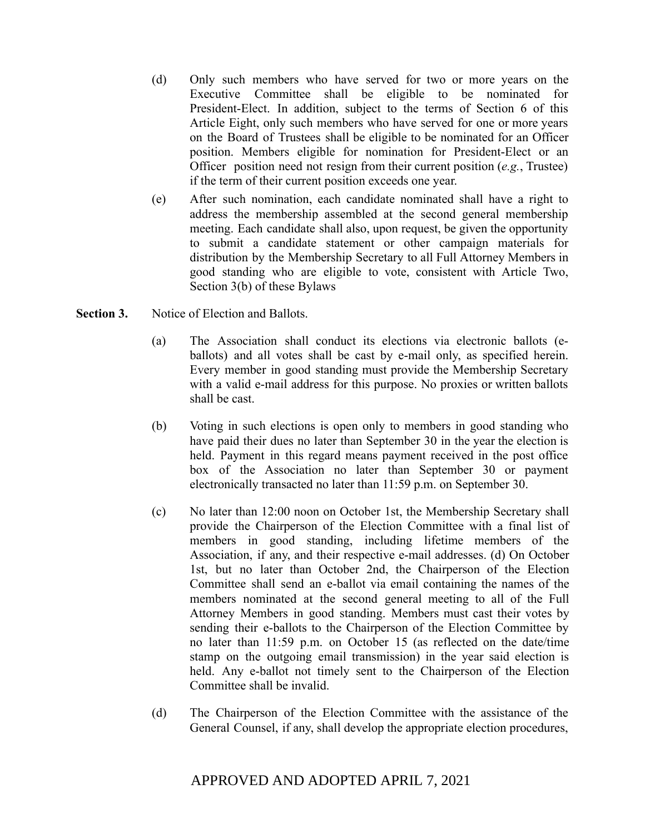- (d) Only such members who have served for two or more years on the Executive Committee shall be eligible to be nominated for President-Elect. In addition, subject to the terms of Section 6 of this Article Eight, only such members who have served for one or more years on the Board of Trustees shall be eligible to be nominated for an Officer position. Members eligible for nomination for President-Elect or an Officer position need not resign from their current position (*e.g.*, Trustee) if the term of their current position exceeds one year.
- (e) After such nomination, each candidate nominated shall have a right to address the membership assembled at the second general membership meeting. Each candidate shall also, upon request, be given the opportunity to submit a candidate statement or other campaign materials for distribution by the Membership Secretary to all Full Attorney Members in good standing who are eligible to vote, consistent with Article Two, Section 3(b) of these Bylaws
- **Section 3.** Notice of Election and Ballots.
	- (a) The Association shall conduct its elections via electronic ballots (eballots) and all votes shall be cast by e-mail only, as specified herein. Every member in good standing must provide the Membership Secretary with a valid e-mail address for this purpose. No proxies or written ballots shall be cast.
	- (b) Voting in such elections is open only to members in good standing who have paid their dues no later than September 30 in the year the election is held. Payment in this regard means payment received in the post office box of the Association no later than September 30 or payment electronically transacted no later than 11:59 p.m. on September 30.
	- (c) No later than 12:00 noon on October 1st, the Membership Secretary shall provide the Chairperson of the Election Committee with a final list of members in good standing, including lifetime members of the Association, if any, and their respective e-mail addresses. (d) On October 1st, but no later than October 2nd, the Chairperson of the Election Committee shall send an e-ballot via email containing the names of the members nominated at the second general meeting to all of the Full Attorney Members in good standing. Members must cast their votes by sending their e-ballots to the Chairperson of the Election Committee by no later than 11:59 p.m. on October 15 (as reflected on the date/time stamp on the outgoing email transmission) in the year said election is held. Any e-ballot not timely sent to the Chairperson of the Election Committee shall be invalid.
	- (d) The Chairperson of the Election Committee with the assistance of the General Counsel, if any, shall develop the appropriate election procedures,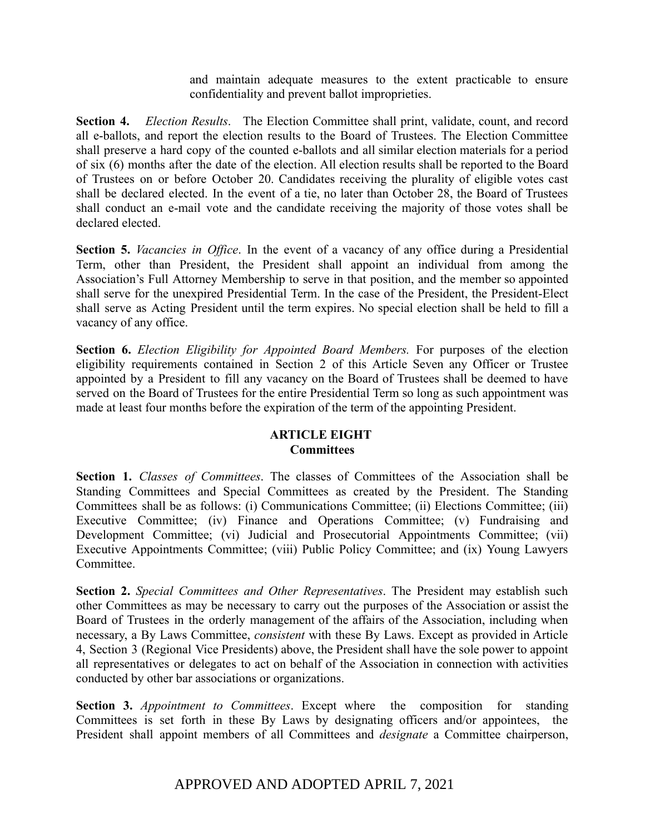and maintain adequate measures to the extent practicable to ensure confidentiality and prevent ballot improprieties.

**Section 4.** *Election Results*. The Election Committee shall print, validate, count, and record all e-ballots, and report the election results to the Board of Trustees. The Election Committee shall preserve a hard copy of the counted e-ballots and all similar election materials for a period of six (6) months after the date of the election. All election results shall be reported to the Board of Trustees on or before October 20. Candidates receiving the plurality of eligible votes cast shall be declared elected. In the event of a tie, no later than October 28, the Board of Trustees shall conduct an e-mail vote and the candidate receiving the majority of those votes shall be declared elected.

**Section 5.** *Vacancies in Office*. In the event of a vacancy of any office during a Presidential Term, other than President, the President shall appoint an individual from among the Association's Full Attorney Membership to serve in that position, and the member so appointed shall serve for the unexpired Presidential Term. In the case of the President, the President-Elect shall serve as Acting President until the term expires. No special election shall be held to fill a vacancy of any office.

**Section 6.** *Election Eligibility for Appointed Board Members.* For purposes of the election eligibility requirements contained in Section 2 of this Article Seven any Officer or Trustee appointed by a President to fill any vacancy on the Board of Trustees shall be deemed to have served on the Board of Trustees for the entire Presidential Term so long as such appointment was made at least four months before the expiration of the term of the appointing President.

# **ARTICLE EIGHT Committees**

**Section 1.** *Classes of Committees*. The classes of Committees of the Association shall be Standing Committees and Special Committees as created by the President. The Standing Committees shall be as follows: (i) Communications Committee; (ii) Elections Committee; (iii) Executive Committee; (iv) Finance and Operations Committee; (v) Fundraising and Development Committee; (vi) Judicial and Prosecutorial Appointments Committee; (vii) Executive Appointments Committee; (viii) Public Policy Committee; and (ix) Young Lawyers **Committee** 

**Section 2.** *Special Committees and Other Representatives*. The President may establish such other Committees as may be necessary to carry out the purposes of the Association or assist the Board of Trustees in the orderly management of the affairs of the Association, including when necessary, a By Laws Committee, *consistent* with these By Laws. Except as provided in Article 4, Section 3 (Regional Vice Presidents) above, the President shall have the sole power to appoint all representatives or delegates to act on behalf of the Association in connection with activities conducted by other bar associations or organizations.

**Section 3.** *Appointment to Committees*. Except where the composition for standing Committees is set forth in these By Laws by designating officers and/or appointees, the President shall appoint members of all Committees and *designate* a Committee chairperson,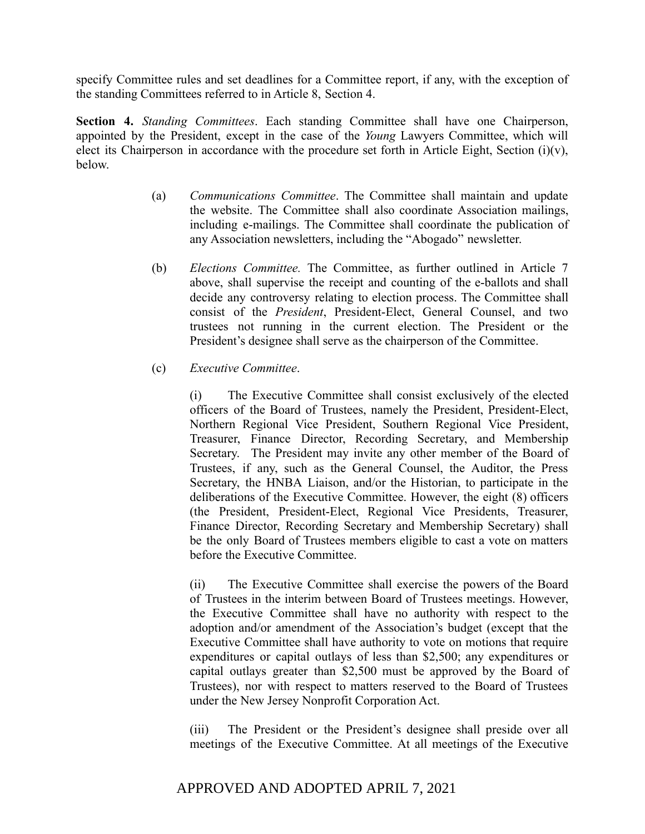specify Committee rules and set deadlines for a Committee report, if any, with the exception of the standing Committees referred to in Article 8, Section 4.

**Section 4.** *Standing Committees*. Each standing Committee shall have one Chairperson, appointed by the President, except in the case of the *Young* Lawyers Committee, which will elect its Chairperson in accordance with the procedure set forth in Article Eight, Section  $(i)(v)$ , below.

- (a) *Communications Committee*. The Committee shall maintain and update the website. The Committee shall also coordinate Association mailings, including e-mailings. The Committee shall coordinate the publication of any Association newsletters, including the "Abogado" newsletter.
- (b) *Elections Committee.* The Committee, as further outlined in Article 7 above, shall supervise the receipt and counting of the e-ballots and shall decide any controversy relating to election process. The Committee shall consist of the *President*, President-Elect, General Counsel, and two trustees not running in the current election. The President or the President's designee shall serve as the chairperson of the Committee.
- (c) *Executive Committee*.

(i) The Executive Committee shall consist exclusively of the elected officers of the Board of Trustees, namely the President, President-Elect, Northern Regional Vice President, Southern Regional Vice President, Treasurer, Finance Director, Recording Secretary, and Membership Secretary. The President may invite any other member of the Board of Trustees, if any, such as the General Counsel, the Auditor, the Press Secretary, the HNBA Liaison, and/or the Historian, to participate in the deliberations of the Executive Committee. However, the eight (8) officers (the President, President-Elect, Regional Vice Presidents, Treasurer, Finance Director, Recording Secretary and Membership Secretary) shall be the only Board of Trustees members eligible to cast a vote on matters before the Executive Committee.

(ii) The Executive Committee shall exercise the powers of the Board of Trustees in the interim between Board of Trustees meetings. However, the Executive Committee shall have no authority with respect to the adoption and/or amendment of the Association's budget (except that the Executive Committee shall have authority to vote on motions that require expenditures or capital outlays of less than \$2,500; any expenditures or capital outlays greater than \$2,500 must be approved by the Board of Trustees), nor with respect to matters reserved to the Board of Trustees under the New Jersey Nonprofit Corporation Act.

(iii) The President or the President's designee shall preside over all meetings of the Executive Committee. At all meetings of the Executive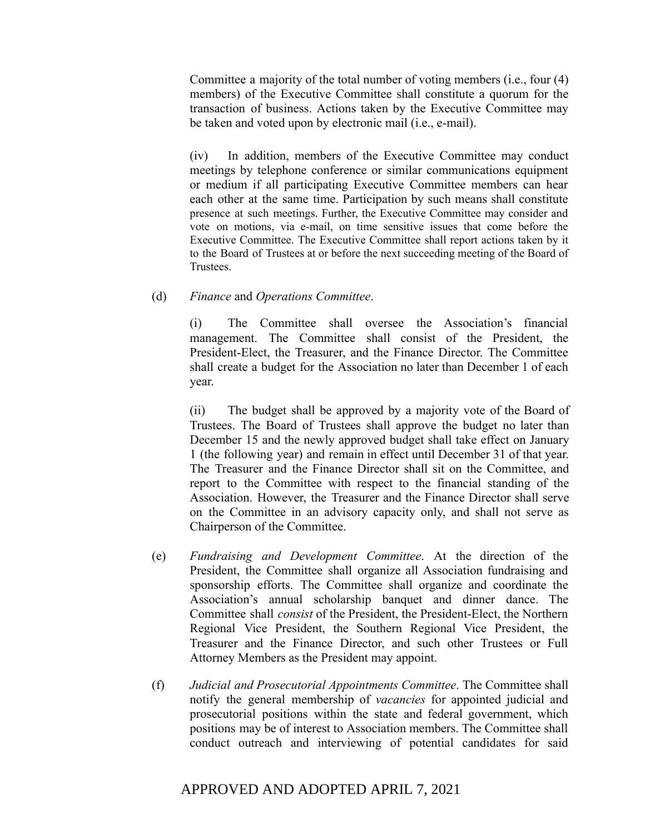Committee a majority of the total number of voting members (i.e., four (4) members) of the Executive Committee shall constitute a quorum for the transaction of business. Actions taken by the Executive Committee may be taken and voted upon by electronic mail (i.e., e-mail).

(iv) In addition, members of the Executive Committee may conduct meetings by telephone conference or similar communications equipment or medium if all participating Executive Committee members can hear each other at the same time. Participation by such means shall constitute presence at such meetings. Further, the Executive Committee may consider and vote on motions, via e-mail, on time sensitive issues that come before the Executive Committee. The Executive Committee shall report actions taken by it to the Board of Trustees at or before the next succeeding meeting of the Board of Trustees.

#### (d) *Finance* and *Operations Committee*.

(i) The Committee shall oversee the Association's financial management. The Committee shall consist of the President, the President-Elect, the Treasurer, and the Finance Director. The Committee shall create a budget for the Association no later than December 1 of each year.

(ii) The budget shall be approved by a majority vote of the Board of Trustees. The Board of Trustees shall approve the budget no later than December 15 and the newly approved budget shall take effect on January 1 (the following year) and remain in effect until December 31 of that year. The Treasurer and the Finance Director shall sit on the Committee, and report to the Committee with respect to the financial standing of the Association. However, the Treasurer and the Finance Director shall serve on the Committee in an advisory capacity only, and shall not serve as Chairperson of the Committee.

- (e) *Fundraising and Development Committee*. At the direction of the President, the Committee shall organize all Association fundraising and sponsorship efforts. The Committee shall organize and coordinate the Association's annual scholarship banquet and dinner dance. The Committee shall *consist* of the President, the President-Elect, the Northern Regional Vice President, the Southern Regional Vice President, the Treasurer and the Finance Director, and such other Trustees or Full Attorney Members as the President may appoint.
- (f) *Judicial and Prosecutorial Appointments Committee*. The Committee shall notify the general membership of *vacancies* for appointed judicial and prosecutorial positions within the state and federal government, which positions may be of interest to Association members. The Committee shall conduct outreach and interviewing of potential candidates for said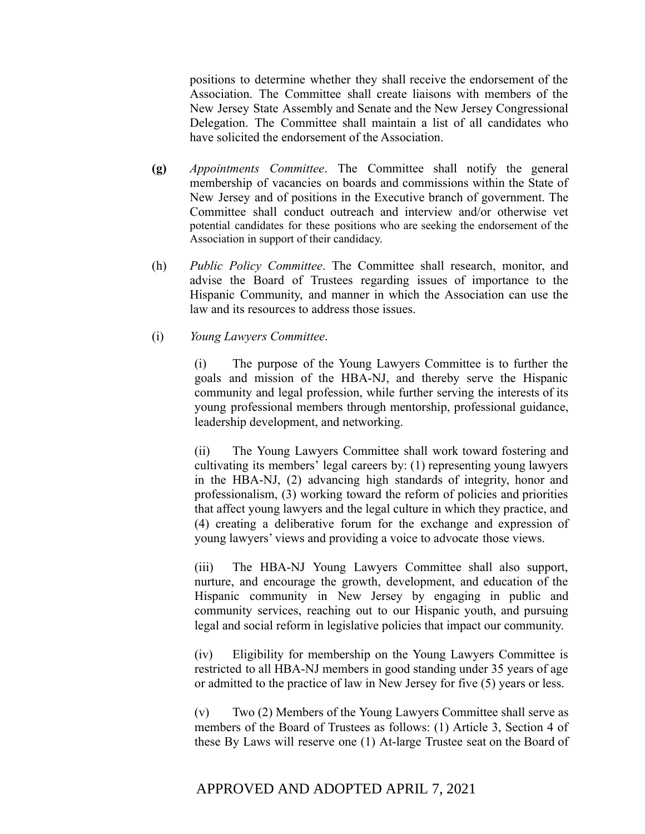positions to determine whether they shall receive the endorsement of the Association. The Committee shall create liaisons with members of the New Jersey State Assembly and Senate and the New Jersey Congressional Delegation. The Committee shall maintain a list of all candidates who have solicited the endorsement of the Association.

- **(g)** *Appointments Committee*. The Committee shall notify the general membership of vacancies on boards and commissions within the State of New Jersey and of positions in the Executive branch of government. The Committee shall conduct outreach and interview and/or otherwise vet potential candidates for these positions who are seeking the endorsement of the Association in support of their candidacy.
- (h) *Public Policy Committee*. The Committee shall research, monitor, and advise the Board of Trustees regarding issues of importance to the Hispanic Community, and manner in which the Association can use the law and its resources to address those issues.
- (i) *Young Lawyers Committee*.

(i) The purpose of the Young Lawyers Committee is to further the goals and mission of the HBA-NJ, and thereby serve the Hispanic community and legal profession, while further serving the interests of its young professional members through mentorship, professional guidance, leadership development, and networking.

(ii) The Young Lawyers Committee shall work toward fostering and cultivating its members' legal careers by: (1) representing young lawyers in the HBA-NJ, (2) advancing high standards of integrity, honor and professionalism, (3) working toward the reform of policies and priorities that affect young lawyers and the legal culture in which they practice, and (4) creating a deliberative forum for the exchange and expression of young lawyers' views and providing a voice to advocate those views.

(iii) The HBA-NJ Young Lawyers Committee shall also support, nurture, and encourage the growth, development, and education of the Hispanic community in New Jersey by engaging in public and community services, reaching out to our Hispanic youth, and pursuing legal and social reform in legislative policies that impact our community.

(iv) Eligibility for membership on the Young Lawyers Committee is restricted to all HBA-NJ members in good standing under 35 years of age or admitted to the practice of law in New Jersey for five (5) years or less.

(v) Two (2) Members of the Young Lawyers Committee shall serve as members of the Board of Trustees as follows: (1) Article 3, Section 4 of these By Laws will reserve one (1) At-large Trustee seat on the Board of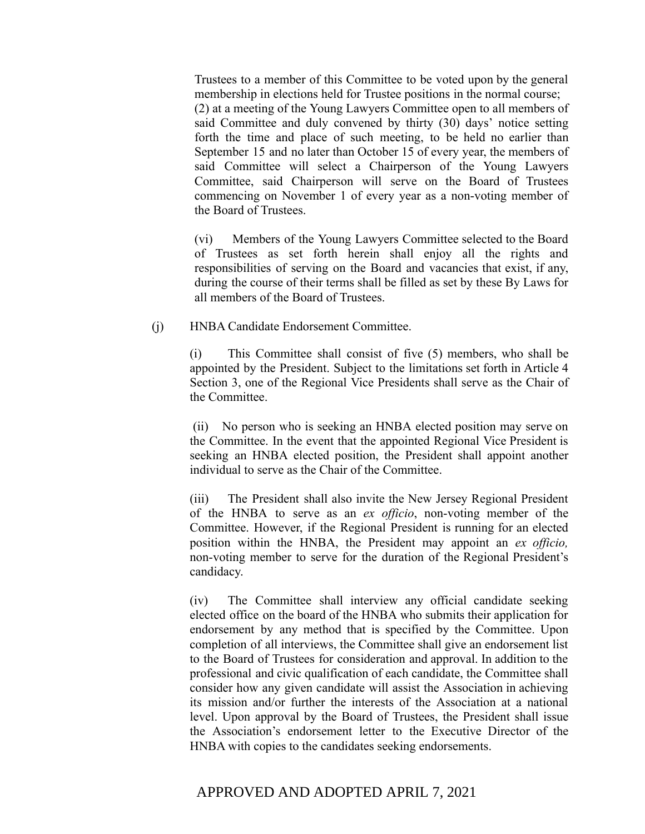Trustees to a member of this Committee to be voted upon by the general membership in elections held for Trustee positions in the normal course; (2) at a meeting of the Young Lawyers Committee open to all members of said Committee and duly convened by thirty (30) days' notice setting forth the time and place of such meeting, to be held no earlier than September 15 and no later than October 15 of every year, the members of said Committee will select a Chairperson of the Young Lawyers Committee, said Chairperson will serve on the Board of Trustees commencing on November 1 of every year as a non-voting member of the Board of Trustees.

(vi) Members of the Young Lawyers Committee selected to the Board of Trustees as set forth herein shall enjoy all the rights and responsibilities of serving on the Board and vacancies that exist, if any, during the course of their terms shall be filled as set by these By Laws for all members of the Board of Trustees.

(j) HNBA Candidate Endorsement Committee.

(i) This Committee shall consist of five (5) members, who shall be appointed by the President. Subject to the limitations set forth in Article 4 Section 3, one of the Regional Vice Presidents shall serve as the Chair of the Committee.

(ii) No person who is seeking an HNBA elected position may serve on the Committee. In the event that the appointed Regional Vice President is seeking an HNBA elected position, the President shall appoint another individual to serve as the Chair of the Committee.

(iii) The President shall also invite the New Jersey Regional President of the HNBA to serve as an *ex officio*, non-voting member of the Committee. However, if the Regional President is running for an elected position within the HNBA, the President may appoint an *ex officio,* non-voting member to serve for the duration of the Regional President's candidacy.

(iv) The Committee shall interview any official candidate seeking elected office on the board of the HNBA who submits their application for endorsement by any method that is specified by the Committee. Upon completion of all interviews, the Committee shall give an endorsement list to the Board of Trustees for consideration and approval. In addition to the professional and civic qualification of each candidate, the Committee shall consider how any given candidate will assist the Association in achieving its mission and/or further the interests of the Association at a national level. Upon approval by the Board of Trustees, the President shall issue the Association's endorsement letter to the Executive Director of the HNBA with copies to the candidates seeking endorsements.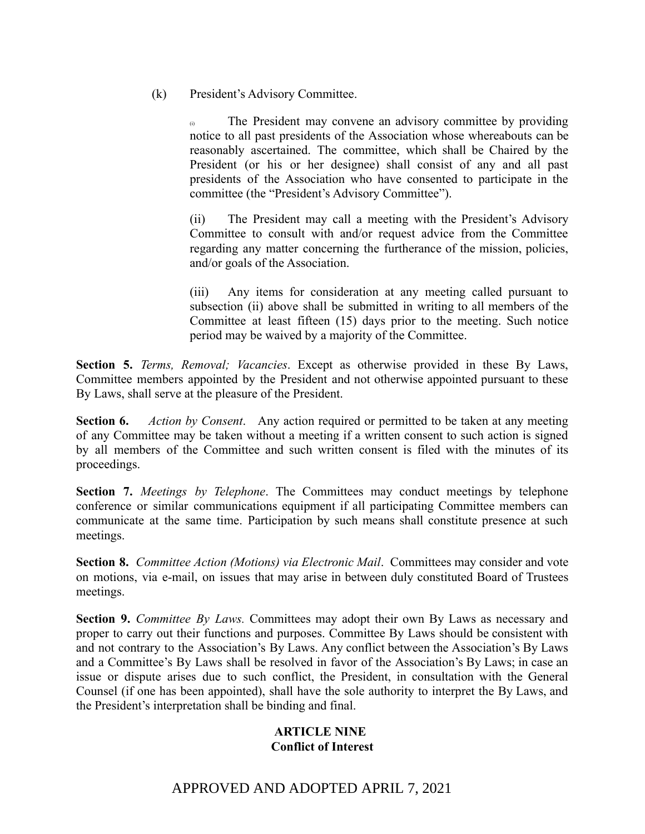(k) President's Advisory Committee.

(i) The President may convene an advisory committee by providing notice to all past presidents of the Association whose whereabouts can be reasonably ascertained. The committee, which shall be Chaired by the President (or his or her designee) shall consist of any and all past presidents of the Association who have consented to participate in the committee (the "President's Advisory Committee").

(ii) The President may call a meeting with the President's Advisory Committee to consult with and/or request advice from the Committee regarding any matter concerning the furtherance of the mission, policies, and/or goals of the Association.

(iii) Any items for consideration at any meeting called pursuant to subsection (ii) above shall be submitted in writing to all members of the Committee at least fifteen (15) days prior to the meeting. Such notice period may be waived by a majority of the Committee.

**Section 5.** *Terms, Removal; Vacancies*. Except as otherwise provided in these By Laws, Committee members appointed by the President and not otherwise appointed pursuant to these By Laws, shall serve at the pleasure of the President.

**Section 6.** *Action by Consent*. Any action required or permitted to be taken at any meeting of any Committee may be taken without a meeting if a written consent to such action is signed by all members of the Committee and such written consent is filed with the minutes of its proceedings.

**Section 7.** *Meetings by Telephone*. The Committees may conduct meetings by telephone conference or similar communications equipment if all participating Committee members can communicate at the same time. Participation by such means shall constitute presence at such meetings.

**Section 8.** *Committee Action (Motions) via Electronic Mail*. Committees may consider and vote on motions, via e-mail, on issues that may arise in between duly constituted Board of Trustees meetings.

**Section 9.** *Committee By Laws.* Committees may adopt their own By Laws as necessary and proper to carry out their functions and purposes. Committee By Laws should be consistent with and not contrary to the Association's By Laws. Any conflict between the Association's By Laws and a Committee's By Laws shall be resolved in favor of the Association's By Laws; in case an issue or dispute arises due to such conflict, the President, in consultation with the General Counsel (if one has been appointed), shall have the sole authority to interpret the By Laws, and the President's interpretation shall be binding and final.

# **ARTICLE NINE Conflict of Interest**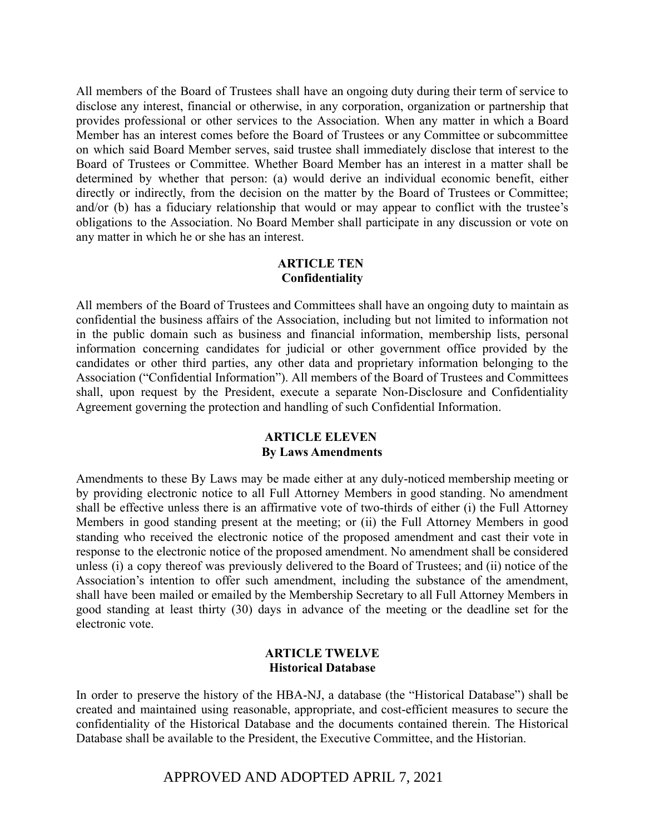All members of the Board of Trustees shall have an ongoing duty during their term of service to disclose any interest, financial or otherwise, in any corporation, organization or partnership that provides professional or other services to the Association. When any matter in which a Board Member has an interest comes before the Board of Trustees or any Committee or subcommittee on which said Board Member serves, said trustee shall immediately disclose that interest to the Board of Trustees or Committee. Whether Board Member has an interest in a matter shall be determined by whether that person: (a) would derive an individual economic benefit, either directly or indirectly, from the decision on the matter by the Board of Trustees or Committee; and/or (b) has a fiduciary relationship that would or may appear to conflict with the trustee's obligations to the Association. No Board Member shall participate in any discussion or vote on any matter in which he or she has an interest.

## **ARTICLE TEN Confidentiality**

All members of the Board of Trustees and Committees shall have an ongoing duty to maintain as confidential the business affairs of the Association, including but not limited to information not in the public domain such as business and financial information, membership lists, personal information concerning candidates for judicial or other government office provided by the candidates or other third parties, any other data and proprietary information belonging to the Association ("Confidential Information"). All members of the Board of Trustees and Committees shall, upon request by the President, execute a separate Non-Disclosure and Confidentiality Agreement governing the protection and handling of such Confidential Information.

# **ARTICLE ELEVEN By Laws Amendments**

Amendments to these By Laws may be made either at any duly-noticed membership meeting or by providing electronic notice to all Full Attorney Members in good standing. No amendment shall be effective unless there is an affirmative vote of two-thirds of either (i) the Full Attorney Members in good standing present at the meeting; or (ii) the Full Attorney Members in good standing who received the electronic notice of the proposed amendment and cast their vote in response to the electronic notice of the proposed amendment. No amendment shall be considered unless (i) a copy thereof was previously delivered to the Board of Trustees; and (ii) notice of the Association's intention to offer such amendment, including the substance of the amendment, shall have been mailed or emailed by the Membership Secretary to all Full Attorney Members in good standing at least thirty (30) days in advance of the meeting or the deadline set for the electronic vote.

## **ARTICLE TWELVE Historical Database**

In order to preserve the history of the HBA-NJ, a database (the "Historical Database") shall be created and maintained using reasonable, appropriate, and cost-efficient measures to secure the confidentiality of the Historical Database and the documents contained therein. The Historical Database shall be available to the President, the Executive Committee, and the Historian.